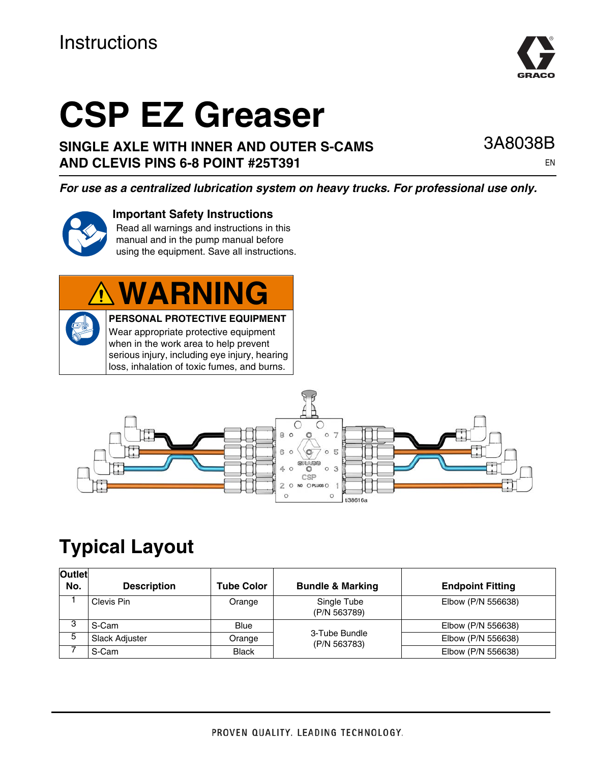# **Instructions**

# **CSP EZ Greaser**

#### **SINGLE AXLE WITH INNER AND OUTER S-CAMS AND CLEVIS PINS 6-8 POINT #25T391**

*For use as a centralized lubrication system on heavy trucks. For professional use only.*

#### **Important Safety Instructions**

Read all warnings and instructions in this manual and in the pump manual before using the equipment. Save all instructions.

# **WARNING**

**PERSONAL PROTECTIVE EQUIPMENT** Wear appropriate protective equipment when in the work area to help prevent serious injury, including eye injury, hearing loss, inhalation of toxic fumes, and burns.



# **Typical Layout**

| <b>Outlet</b><br>No. | <b>Description</b> | <b>Tube Color</b> | <b>Bundle &amp; Marking</b>   | <b>Endpoint Fitting</b> |
|----------------------|--------------------|-------------------|-------------------------------|-------------------------|
|                      | Clevis Pin         | Orange            | Single Tube<br>(P/N 563789)   | Elbow (P/N 556638)      |
| 3                    | S-Cam              | <b>Blue</b>       | 3-Tube Bundle<br>(P/N 563783) | Elbow (P/N 556638)      |
| 5                    | Slack Adjuster     | Orange            |                               | Elbow (P/N 556638)      |
|                      | S-Cam              | <b>Black</b>      |                               | Elbow (P/N 556638)      |



3A8038B

EN